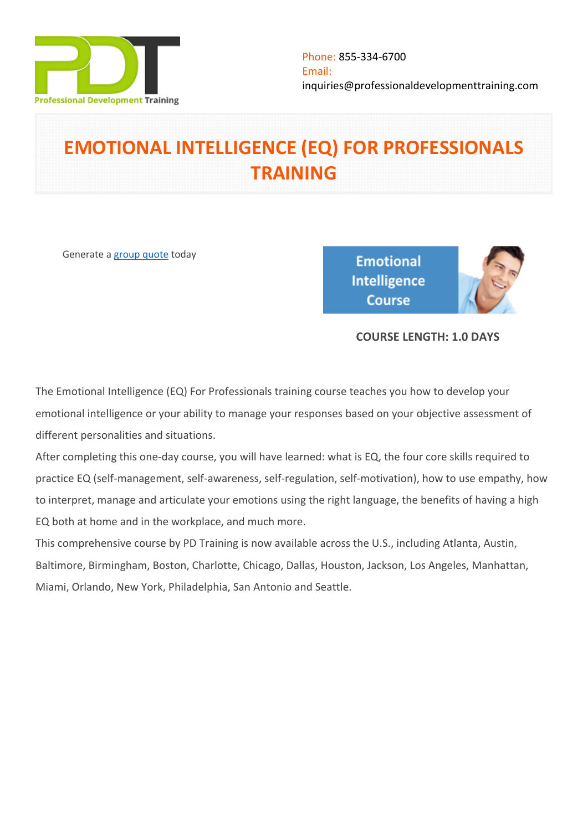

# **EMOTIONAL INTELLIGENCE (EQ) FOR PROFESSIONALS TRAINING**

Generate a [group quote](https://professionaldevelopmenttraining.com/inhouse-training-quote?cse=PDT038) today

**Emotional Intelligence Course** 



# **COURSE LENGTH: 1.0 DAYS**

The Emotional Intelligence (EQ) For Professionals training course teaches you how to develop your emotional intelligence or your ability to manage your responses based on your objective assessment of different personalities and situations.

After completing this one-day course, you will have learned: what is EQ, the four core skills required to practice EQ (self-management, self-awareness, self-regulation, self-motivation), how to use empathy, how to interpret, manage and articulate your emotions using the right language, the benefits of having a high EQ both at home and in the workplace, and much more.

This comprehensive course by PD Training is now available across the U.S., including Atlanta, Austin, Baltimore, Birmingham, Boston, Charlotte, Chicago, Dallas, Houston, Jackson, Los Angeles, Manhattan, Miami, Orlando, New York, Philadelphia, San Antonio and Seattle.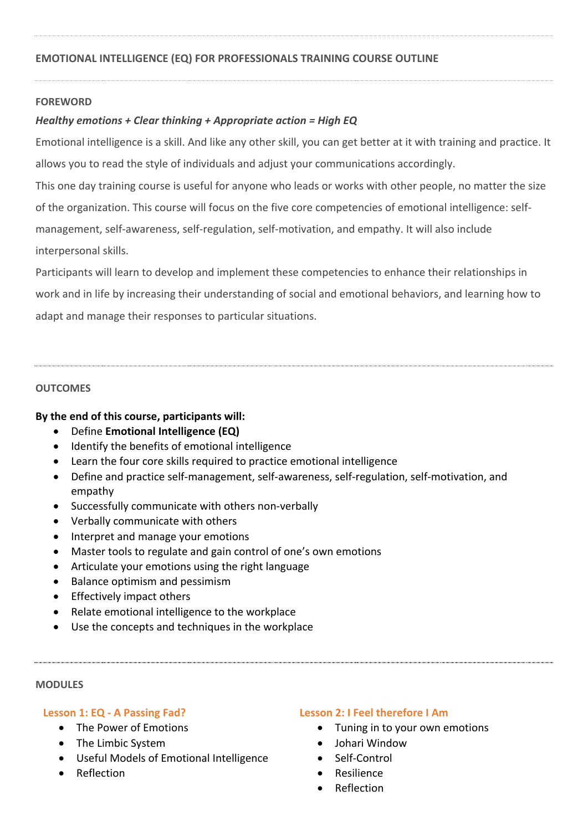## **FOREWORD**

# *Healthy emotions + Clear thinking + Appropriate action = High EQ*

Emotional intelligence is a skill. And like any other skill, you can get better at it with training and practice. It allows you to read the style of individuals and adjust your communications accordingly.

This one day training course is useful for anyone who leads or works with other people, no matter the size of the organization. This course will focus on the five core competencies of emotional intelligence: selfmanagement, self-awareness, self-regulation, self-motivation, and empathy. It will also include interpersonal skills.

Participants will learn to develop and implement these competencies to enhance their relationships in work and in life by increasing their understanding of social and emotional behaviors, and learning how to adapt and manage their responses to particular situations.

#### **OUTCOMES**

#### **By the end of this course, participants will:**

- Define **Emotional Intelligence (EQ)**
- Identify the benefits of emotional intelligence
- Learn the four core skills required to practice emotional intelligence
- Define and practice self-management, self-awareness, self-regulation, self-motivation, and empathy
- Successfully communicate with others non-verbally
- Verbally communicate with others
- Interpret and manage your emotions
- Master tools to regulate and gain control of one's own emotions
- Articulate your emotions using the right language
- Balance optimism and pessimism
- Effectively impact others
- Relate emotional intelligence to the workplace
- Use the concepts and techniques in the workplace

#### **MODULES**

#### **Lesson 1: EQ - A Passing Fad?**

- The Power of Emotions
- The Limbic System
- Useful Models of Emotional Intelligence
- Reflection

#### **Lesson 2: I Feel therefore I Am**

- Tuning in to your own emotions
- $\bullet$  Iohari Window
- Self-Control
- Resilience
- Reflection